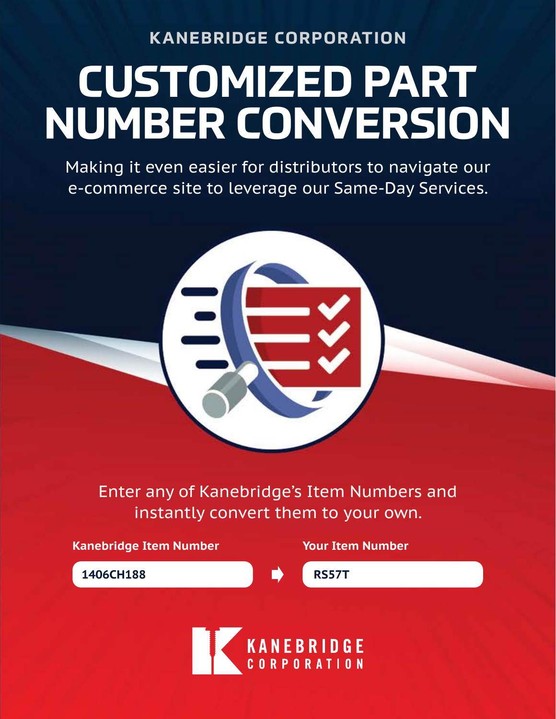**KANEBRIDGE CORPORATION**

# **CUSTOMIZED PART NUMBER CONVERSION**

Making it even easier for distributors to navigate our e-commerce site to leverage our Same-Day Services.

Enter any of Kanebridge's Item Numbers and instantly convert them to your own.

**Kanebridge Item Number Your Item Number 1406CH188 RS57T**

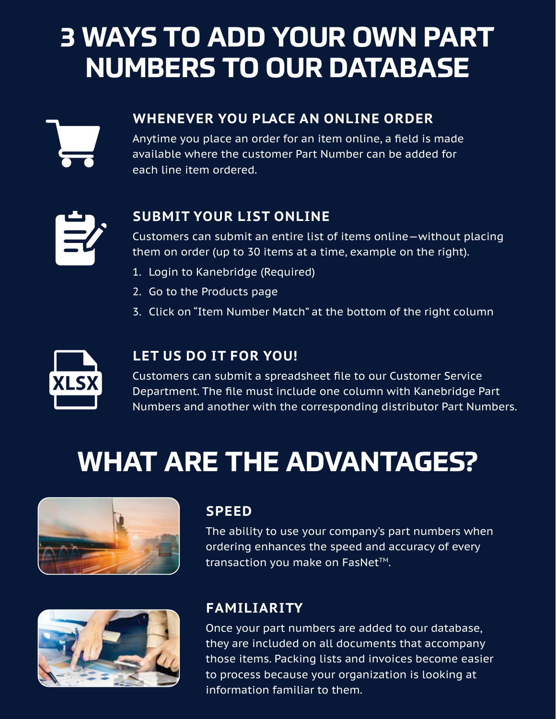### **3 WAYS TO ADD YOUR OWN PART NUMBERS TO OUR DATABASE**



#### **WHENEVER YOU PLACE AN ONLINE ORDER**

Anytime you place an order for an item online, a field is made available where the customer Part Number can be added for each line item ordered.



#### **SUBMIT YOUR LIST ONLINE**

Customers can submit an entire list of items online—without placing them on order (up to 30 items at a time, example on the right).

- 1. Login to Kanebridge (Required)
- 2. Go to the Products page
- 3. Click on "Item Number Match" at the bottom of the right column



#### **LET US DO IT FOR YOU!**

Customers can submit a spreadsheet file to our Customer Service Department. The file must include one column with Kanebridge Part Numbers and another with the corresponding distributor Part Numbers.

## **WHAT ARE THE ADVANTAGES?**



#### **SPEED**

The ability to use your company's part numbers when ordering enhances the speed and accuracy of every transaction you make on FasNet™.

#### **FAMILIARITY**

Once your part numbers are added to our database, they are included on all documents that accompany those items. Packing lists and invoices become easier to process because your organization is looking at information familiar to them.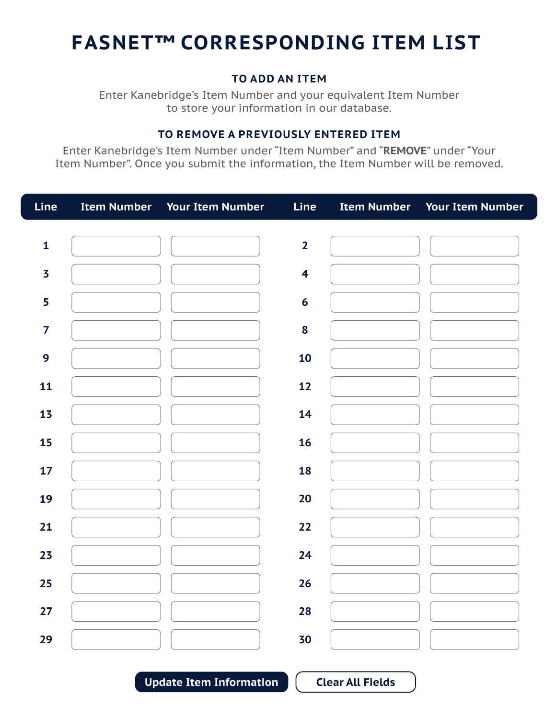### **FASNET™ CORRESPONDING ITEM LIST**

#### **TO ADD AN ITEM**

Enter Kanebridge's Item Number and your equivalent Item Number to store your information in our database.

#### **TO REMOVE A PREVIOUSLY ENTERED ITEM**

Enter Kanebridge's Item Number under "Item Number" and "**REMOVE**" under "Your Item Number". Once you submit the information, the Item Number will be removed.

| Line                    | Item Number Your Item Number | Line                    | Item Number Your Item Number |
|-------------------------|------------------------------|-------------------------|------------------------------|
| $\mathbf{1}$            |                              | $\overline{2}$          |                              |
| $\overline{\mathbf{3}}$ |                              | $\overline{\mathbf{4}}$ |                              |
| 5                       |                              | $6\phantom{1}6$         |                              |
| $\overline{7}$          |                              | 8                       |                              |
| 9                       |                              | 10                      |                              |
| 11                      |                              | 12                      |                              |
| 13                      |                              | 14                      |                              |
| 15                      |                              | 16                      |                              |
| 17                      |                              | 18                      |                              |
| 19                      |                              | 20                      |                              |
| 21                      |                              | 22                      |                              |
| 23                      |                              | 24                      |                              |
| 25                      |                              | 26                      |                              |
| 27                      |                              | 28                      |                              |
| 29                      |                              | 30                      |                              |

**Update Item Information Clear All Fields**